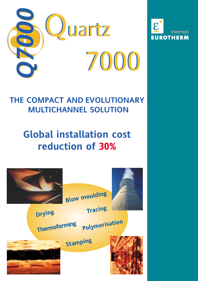



### **THE COMPACT AND EVOLUTIONARY MULTICHANNEL SOLUTION**

# **Global installation cost**

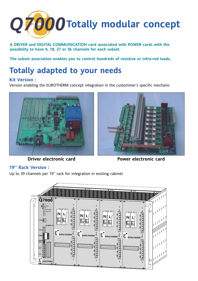

**A DRIVER and DIGITAL COMMUNICATION card associated with POWER cards with the possibility to have 9, 18, 27 or 36 channels for each subset.** 

**The subset association enables you to control hundreds of resistive or infra-red loads.**

## **Totally adapted to your needs**

#### **Kit Version :**

Version enabling the EUROTHERM concept integration in the custommer's specific mechanic







#### **19'' Rack Version :**

Up to 39 channels per 19'' rack for integration in existing cabinet

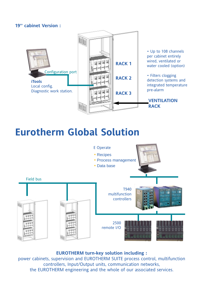#### **19'' cabinet Version :**



## **Eurotherm Global Solution**



#### **EUROTHERM turn-key solution including :**

power cabinets, supervision and EUROTHERM SUITE process control, multifunction controllers, Input/Output units, communication networks, the EUROTHERM engineering and the whole of our associated services.